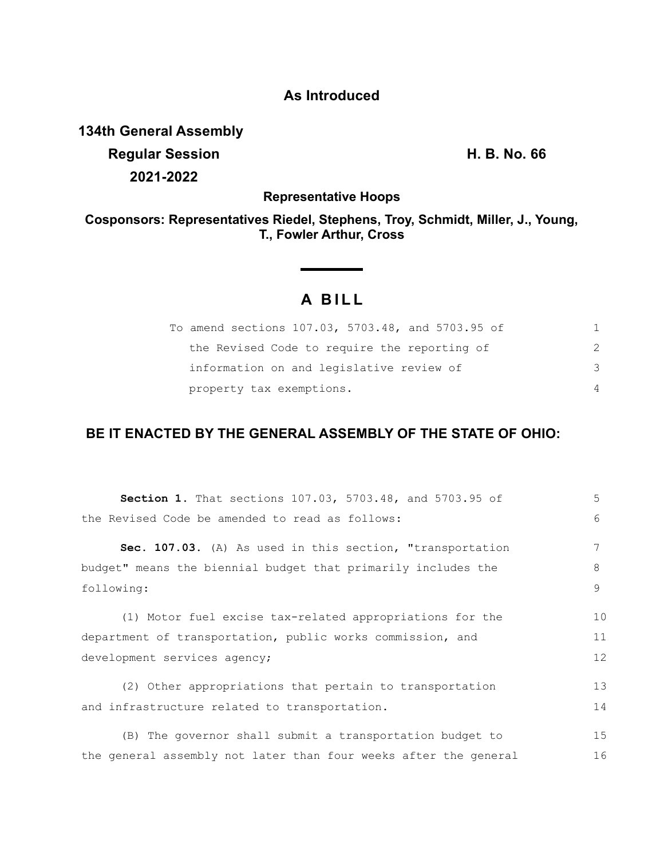## **As Introduced**

**134th General Assembly Regular Session H. B. No. 66 2021-2022**

**Representative Hoops**

**Cosponsors: Representatives Riedel, Stephens, Troy, Schmidt, Miller, J., Young, T., Fowler Arthur, Cross**

## **A B I L L**

<u> 1999 - John Barnett, f</u>

| To amend sections 107.03, 5703.48, and 5703.95 of |                |
|---------------------------------------------------|----------------|
| the Revised Code to require the reporting of      | $\mathcal{P}$  |
| information on and legislative review of          | 3              |
| property tax exemptions.                          | $\overline{4}$ |

## **BE IT ENACTED BY THE GENERAL ASSEMBLY OF THE STATE OF OHIO:**

| Section 1. That sections 107.03, 5703.48, and 5703.95 of         | 5           |
|------------------------------------------------------------------|-------------|
| the Revised Code be amended to read as follows:                  | $6^{\circ}$ |
| Sec. 107.03. (A) As used in this section, "transportation        |             |
| budget" means the biennial budget that primarily includes the    | 8           |
| following:                                                       | 9           |
| (1) Motor fuel excise tax-related appropriations for the         | 10          |
| department of transportation, public works commission, and       | 11          |
| development services agency;                                     | 12          |
| (2) Other appropriations that pertain to transportation          | 13          |
| and infrastructure related to transportation.                    | 14          |
| (B) The governor shall submit a transportation budget to         | 15          |
| the general assembly not later than four weeks after the general | 16          |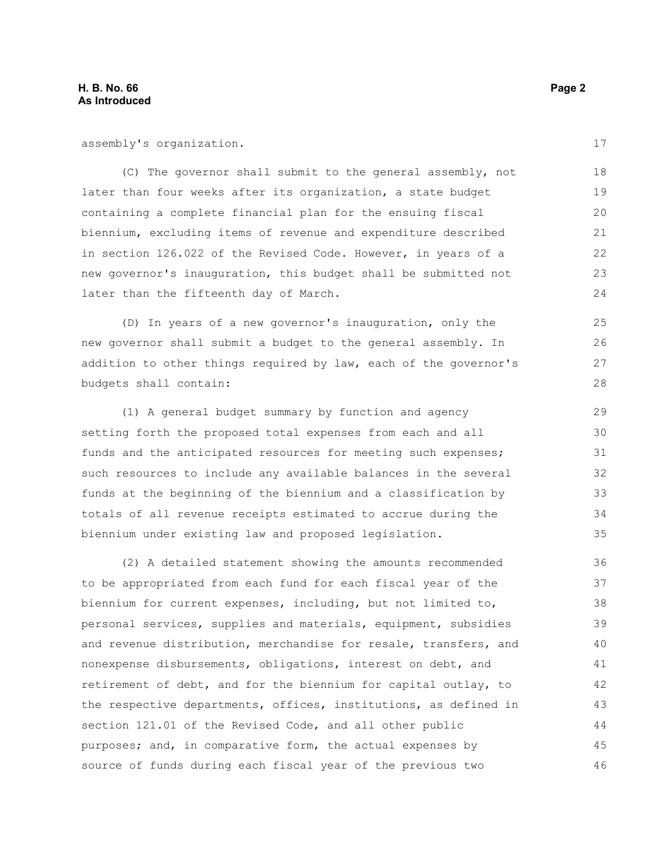assembly's organization.

(C) The governor shall submit to the general assembly, not later than four weeks after its organization, a state budget containing a complete financial plan for the ensuing fiscal biennium, excluding items of revenue and expenditure described in section 126.022 of the Revised Code. However, in years of a new governor's inauguration, this budget shall be submitted not later than the fifteenth day of March.

(D) In years of a new governor's inauguration, only the new governor shall submit a budget to the general assembly. In addition to other things required by law, each of the governor's budgets shall contain:

(1) A general budget summary by function and agency setting forth the proposed total expenses from each and all funds and the anticipated resources for meeting such expenses; such resources to include any available balances in the several funds at the beginning of the biennium and a classification by totals of all revenue receipts estimated to accrue during the biennium under existing law and proposed legislation.

(2) A detailed statement showing the amounts recommended to be appropriated from each fund for each fiscal year of the biennium for current expenses, including, but not limited to, personal services, supplies and materials, equipment, subsidies and revenue distribution, merchandise for resale, transfers, and nonexpense disbursements, obligations, interest on debt, and retirement of debt, and for the biennium for capital outlay, to the respective departments, offices, institutions, as defined in section 121.01 of the Revised Code, and all other public purposes; and, in comparative form, the actual expenses by source of funds during each fiscal year of the previous two 36 37 38 39 40 41 42 43 44 45 46

17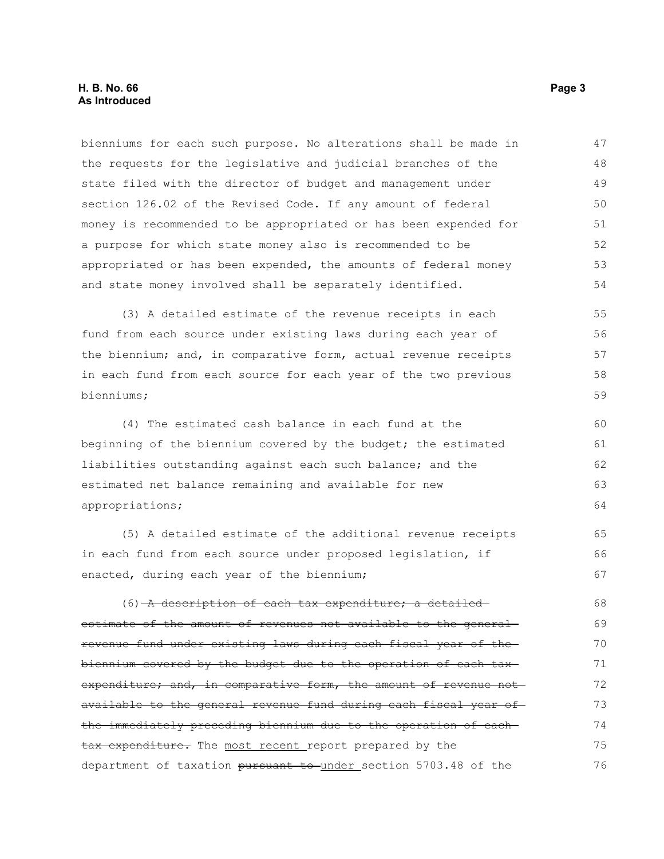bienniums for each such purpose. No alterations shall be made in the requests for the legislative and judicial branches of the state filed with the director of budget and management under section 126.02 of the Revised Code. If any amount of federal money is recommended to be appropriated or has been expended for a purpose for which state money also is recommended to be appropriated or has been expended, the amounts of federal money and state money involved shall be separately identified. 47 48 49 50 51 52 53 54

(3) A detailed estimate of the revenue receipts in each fund from each source under existing laws during each year of the biennium; and, in comparative form, actual revenue receipts in each fund from each source for each year of the two previous bienniums;

(4) The estimated cash balance in each fund at the beginning of the biennium covered by the budget; the estimated liabilities outstanding against each such balance; and the estimated net balance remaining and available for new appropriations;

(5) A detailed estimate of the additional revenue receipts in each fund from each source under proposed legislation, if enacted, during each year of the biennium;

(6) A description of each tax expenditure; a detailedestimate of the amount of revenues not available to the general revenue fund under existing laws during each fiscal year of the biennium covered by the budget due to the operation of each tax expenditure; and, in comparative form, the amount of revenue not available to the general revenue fund during each fiscal year of the immediately preceding biennium due to the operation of each tax expenditure. The most recent report prepared by the department of taxation pursuant to under section 5703.48 of the 68 69 70 71 72 73 74 75 76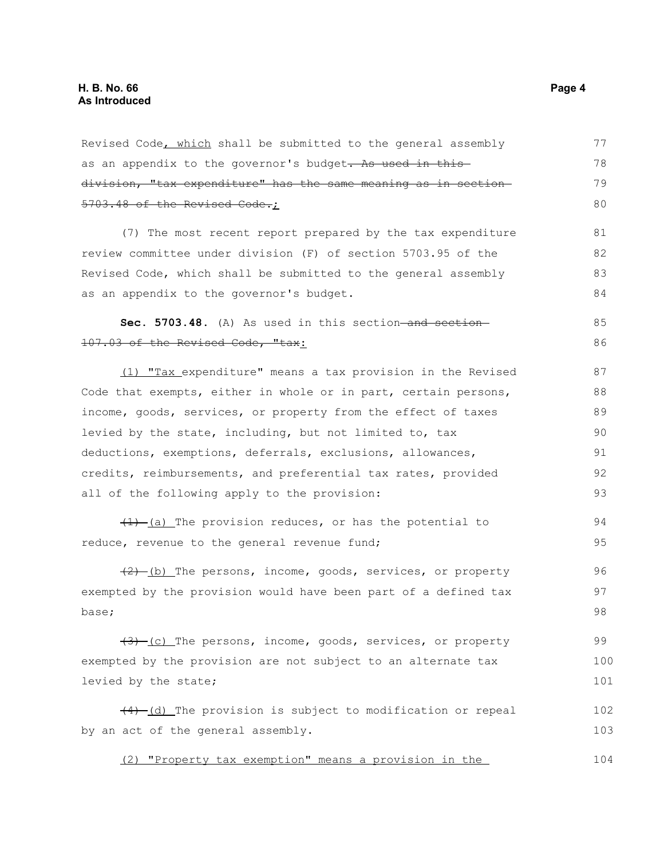| Revised Code, which shall be submitted to the general assembly  | 77  |
|-----------------------------------------------------------------|-----|
| as an appendix to the governor's budget. As used in this        | 78  |
| division, "tax expenditure" has the same meaning as in section- | 79  |
| 5703.48 of the Revised Code.;                                   | 80  |
| (7) The most recent report prepared by the tax expenditure      | 81  |
| review committee under division (F) of section 5703.95 of the   | 82  |
| Revised Code, which shall be submitted to the general assembly  | 83  |
| as an appendix to the governor's budget.                        | 84  |
| Sec. 5703.48. (A) As used in this section-and section-          | 85  |
| 107.03 of the Revised Code, "tax:                               | 86  |
| (1) "Tax expenditure" means a tax provision in the Revised      | 87  |
| Code that exempts, either in whole or in part, certain persons, | 88  |
| income, goods, services, or property from the effect of taxes   | 89  |
| levied by the state, including, but not limited to, tax         | 90  |
| deductions, exemptions, deferrals, exclusions, allowances,      | 91  |
| credits, reimbursements, and preferential tax rates, provided   | 92  |
| all of the following apply to the provision:                    | 93  |
| $(1)$ (a) The provision reduces, or has the potential to        | 94  |
| reduce, revenue to the general revenue fund;                    | 95  |
| $(2)$ (b) The persons, income, goods, services, or property     | 96  |
| exempted by the provision would have been part of a defined tax | 97  |
| base;                                                           | 98  |
| $(3)$ (c) The persons, income, goods, services, or property     | 99  |
| exempted by the provision are not subject to an alternate tax   | 100 |
| levied by the state;                                            | 101 |
| $(4)$ $(d)$ The provision is subject to modification or repeal  | 102 |
| by an act of the general assembly.                              | 103 |
| "Property tax exemption" means a provision in the<br>(2)        | 104 |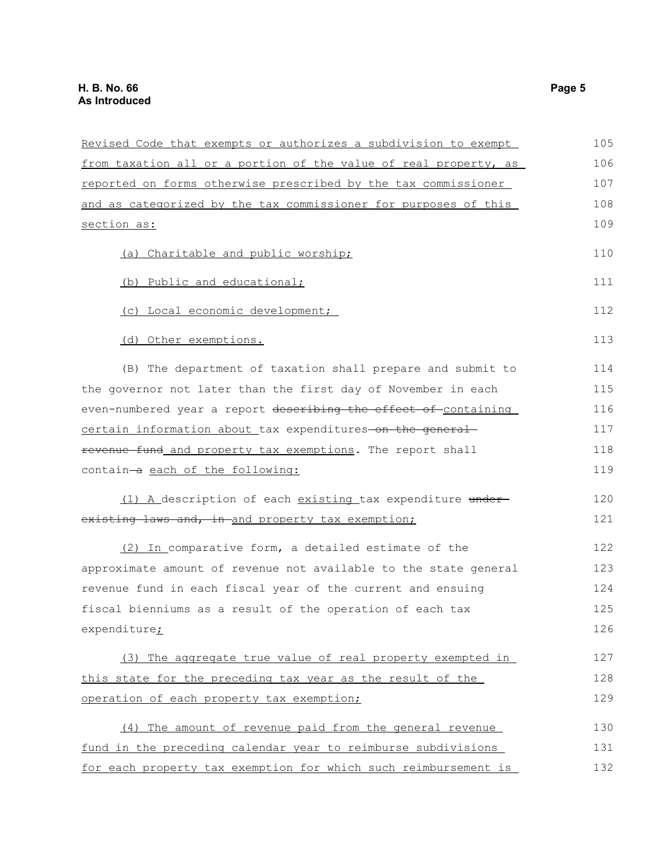| Revised Code that exempts or authorizes a subdivision to exempt  | 105 |
|------------------------------------------------------------------|-----|
| from taxation all or a portion of the value of real property, as | 106 |
| reported on forms otherwise prescribed by the tax commissioner   | 107 |
| and as categorized by the tax commissioner for purposes of this  | 108 |
| section as:                                                      | 109 |
| (a) Charitable and public worship;                               | 110 |
| (b) Public and educational;                                      | 111 |
| (c) Local economic development;                                  | 112 |
| (d) Other exemptions.                                            | 113 |
| (B) The department of taxation shall prepare and submit to       | 114 |
| the governor not later than the first day of November in each    | 115 |
| even-numbered year a report describing the effect of containing  | 116 |
| certain information about tax expenditures-on the general-       | 117 |
| revenue fund and property tax exemptions. The report shall       | 118 |
| contain-a each of the following:                                 | 119 |
| (1) A description of each existing tax expenditure under-        | 120 |
| existing laws and, in and property tax exemption;                | 121 |
| (2) In comparative form, a detailed estimate of the              | 122 |
| approximate amount of revenue not available to the state general | 123 |
| revenue fund in each fiscal year of the current and ensuing      | 124 |
| fiscal bienniums as a result of the operation of each tax        | 125 |
| expenditure <sub>i</sub>                                         | 126 |
| (3) The aggregate true value of real property exempted in        | 127 |
| this state for the preceding tax year as the result of the       | 128 |
| operation of each property tax exemption;                        | 129 |
| (4) The amount of revenue paid from the general revenue          | 130 |
| fund in the preceding calendar year to reimburse subdivisions    | 131 |
| for each property tax exemption for which such reimbursement is  | 132 |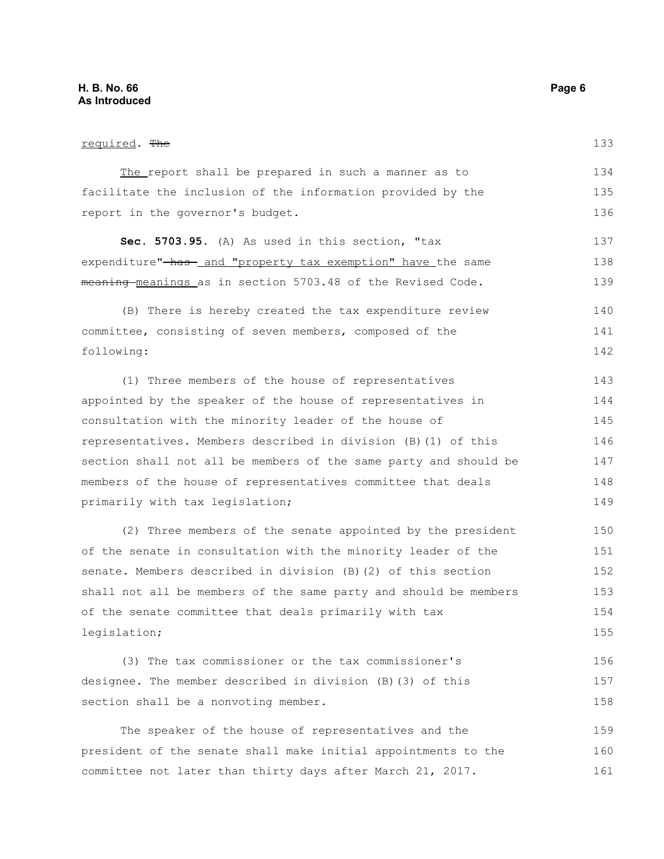| required. The                                                    | 133 |
|------------------------------------------------------------------|-----|
| The report shall be prepared in such a manner as to              | 134 |
| facilitate the inclusion of the information provided by the      | 135 |
| report in the governor's budget.                                 | 136 |
| Sec. 5703.95. (A) As used in this section, "tax                  | 137 |
| expenditure"-has- and "property tax exemption" have the same     | 138 |
| meaning-meanings as in section 5703.48 of the Revised Code.      | 139 |
| (B) There is hereby created the tax expenditure review           | 140 |
| committee, consisting of seven members, composed of the          | 141 |
| following:                                                       | 142 |
| (1) Three members of the house of representatives                | 143 |
| appointed by the speaker of the house of representatives in      | 144 |
| consultation with the minority leader of the house of            | 145 |
| representatives. Members described in division (B) (1) of this   | 146 |
| section shall not all be members of the same party and should be | 147 |
| members of the house of representatives committee that deals     | 148 |
| primarily with tax legislation;                                  | 149 |
| (2) Three members of the senate appointed by the president       | 150 |
| of the senate in consultation with the minority leader of the    | 151 |
| senate. Members described in division (B) (2) of this section    | 152 |
| shall not all be members of the same party and should be members | 153 |
| of the senate committee that deals primarily with tax            | 154 |
| legislation;                                                     | 155 |
| (3) The tax commissioner or the tax commissioner's               | 156 |
| designee. The member described in division (B) (3) of this       | 157 |
| section shall be a nonvoting member.                             | 158 |

The speaker of the house of representatives and the president of the senate shall make initial appointments to the committee not later than thirty days after March 21, 2017. 159 160 161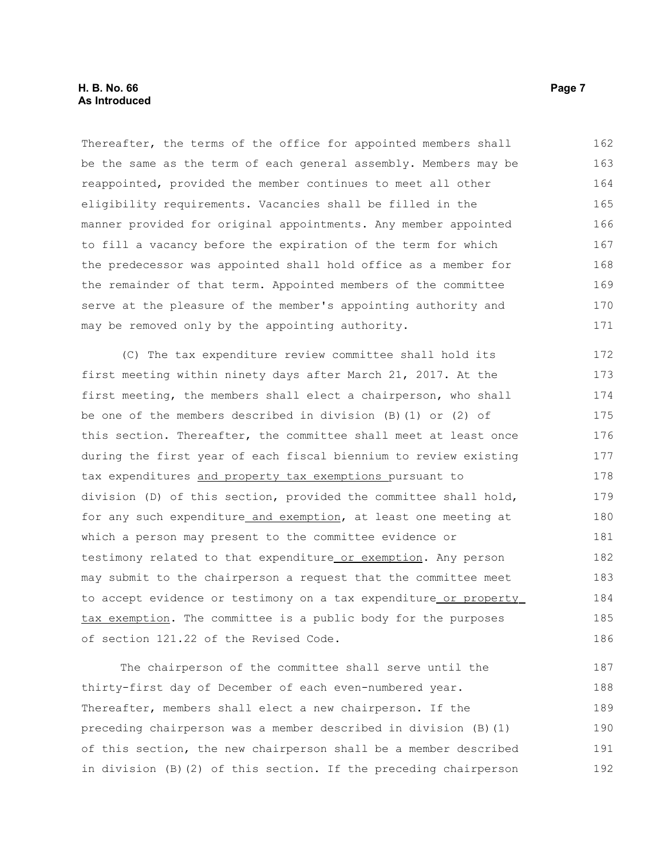Thereafter, the terms of the office for appointed members shall be the same as the term of each general assembly. Members may be reappointed, provided the member continues to meet all other eligibility requirements. Vacancies shall be filled in the manner provided for original appointments. Any member appointed to fill a vacancy before the expiration of the term for which the predecessor was appointed shall hold office as a member for the remainder of that term. Appointed members of the committee serve at the pleasure of the member's appointing authority and may be removed only by the appointing authority. 162 163 164 165 166 167 168 169 170 171

(C) The tax expenditure review committee shall hold its first meeting within ninety days after March 21, 2017. At the first meeting, the members shall elect a chairperson, who shall be one of the members described in division (B)(1) or (2) of this section. Thereafter, the committee shall meet at least once during the first year of each fiscal biennium to review existing tax expenditures and property tax exemptions pursuant to division (D) of this section, provided the committee shall hold, for any such expenditure and exemption, at least one meeting at which a person may present to the committee evidence or testimony related to that expenditure or exemption. Any person may submit to the chairperson a request that the committee meet to accept evidence or testimony on a tax expenditure or property tax exemption. The committee is a public body for the purposes of section 121.22 of the Revised Code. 172 173 174 175 176 177 178 179 180 181 182 183 184 185 186

The chairperson of the committee shall serve until the thirty-first day of December of each even-numbered year. Thereafter, members shall elect a new chairperson. If the preceding chairperson was a member described in division (B)(1) of this section, the new chairperson shall be a member described in division (B)(2) of this section. If the preceding chairperson 187 188 189 190 191 192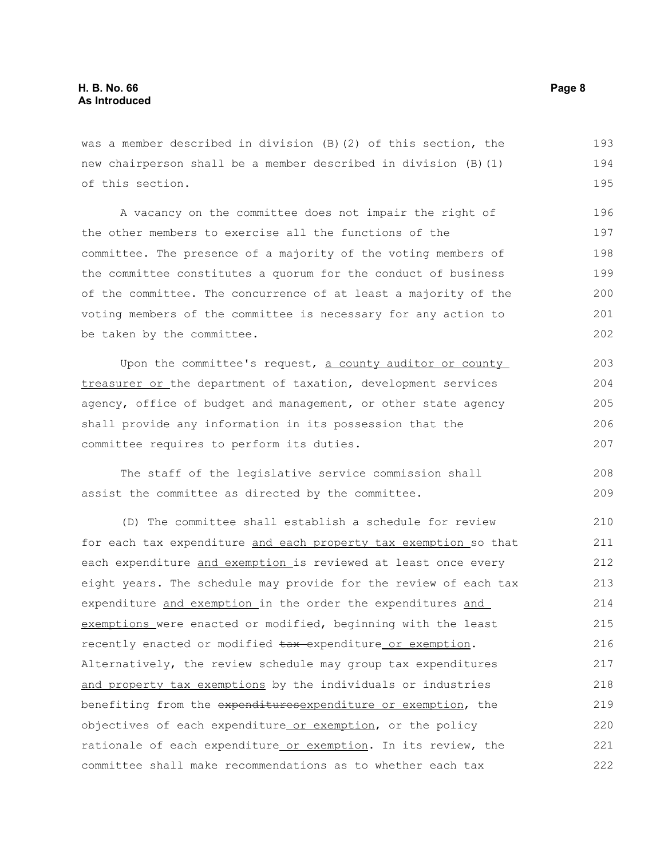was a member described in division (B)(2) of this section, the new chairperson shall be a member described in division (B)(1) of this section. 193 194 195

A vacancy on the committee does not impair the right of the other members to exercise all the functions of the committee. The presence of a majority of the voting members of the committee constitutes a quorum for the conduct of business of the committee. The concurrence of at least a majority of the voting members of the committee is necessary for any action to be taken by the committee.

Upon the committee's request, a county auditor or county treasurer or the department of taxation, development services agency, office of budget and management, or other state agency shall provide any information in its possession that the committee requires to perform its duties.

The staff of the legislative service commission shall assist the committee as directed by the committee. 208 209

(D) The committee shall establish a schedule for review for each tax expenditure and each property tax exemption so that each expenditure and exemption is reviewed at least once every eight years. The schedule may provide for the review of each tax expenditure and exemption in the order the expenditures and exemptions were enacted or modified, beginning with the least recently enacted or modified tax-expenditure or exemption. Alternatively, the review schedule may group tax expenditures and property tax exemptions by the individuals or industries benefiting from the expendituresexpenditure or exemption, the objectives of each expenditure or exemption, or the policy rationale of each expenditure or exemption. In its review, the committee shall make recommendations as to whether each tax 210 211 212 213 214 215 216 217 218 219 220 221 222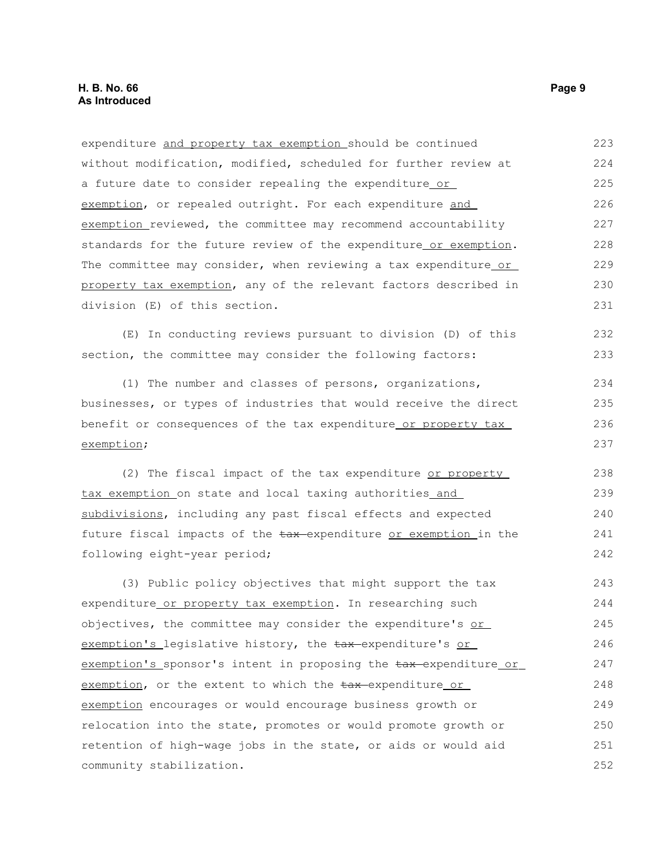expenditure and property tax exemption should be continued without modification, modified, scheduled for further review at a future date to consider repealing the expenditure or exemption, or repealed outright. For each expenditure and exemption reviewed, the committee may recommend accountability standards for the future review of the expenditure or exemption. The committee may consider, when reviewing a tax expenditure or property tax exemption, any of the relevant factors described in division (E) of this section. 223 224 225 226 227 228 229 230 231

(E) In conducting reviews pursuant to division (D) of this section, the committee may consider the following factors:

(1) The number and classes of persons, organizations, businesses, or types of industries that would receive the direct benefit or consequences of the tax expenditure or property tax exemption;

(2) The fiscal impact of the tax expenditure or property tax exemption on state and local taxing authorities and subdivisions, including any past fiscal effects and expected future fiscal impacts of the tax-expenditure or exemption in the following eight-year period; 238 239 240 241 242

(3) Public policy objectives that might support the tax expenditure or property tax exemption. In researching such objectives, the committee may consider the expenditure's or exemption's legislative history, the tax-expenditure's or exemption's sponsor's intent in proposing the tax-expenditure or exemption, or the extent to which the  $\frac{1}{2}$  tax-expenditure or exemption encourages or would encourage business growth or relocation into the state, promotes or would promote growth or retention of high-wage jobs in the state, or aids or would aid community stabilization. 243 244 245 246 247 248 249 250 251 252

232 233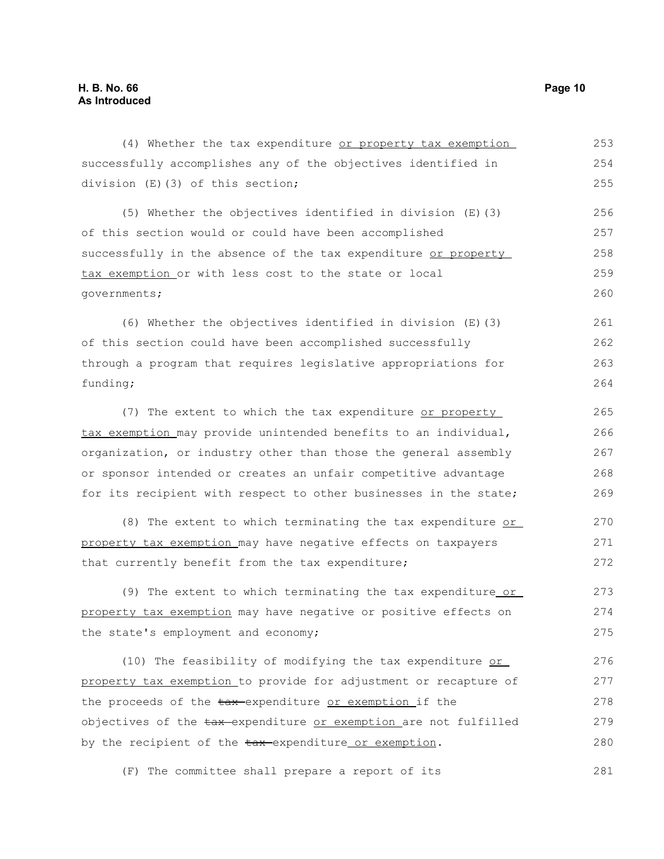| (4) Whether the tax expenditure or property tax exemption        | 253 |
|------------------------------------------------------------------|-----|
| successfully accomplishes any of the objectives identified in    | 254 |
| division (E)(3) of this section;                                 | 255 |
| (5) Whether the objectives identified in division (E) (3)        | 256 |
| of this section would or could have been accomplished            | 257 |
| successfully in the absence of the tax expenditure or property   | 258 |
| tax exemption or with less cost to the state or local            | 259 |
| governments;                                                     | 260 |
| (6) Whether the objectives identified in division (E) (3)        | 261 |
| of this section could have been accomplished successfully        | 262 |
| through a program that requires legislative appropriations for   | 263 |
| funding;                                                         | 264 |
| (7) The extent to which the tax expenditure or property          | 265 |
| tax exemption may provide unintended benefits to an individual,  | 266 |
| organization, or industry other than those the general assembly  | 267 |
| or sponsor intended or creates an unfair competitive advantage   | 268 |
| for its recipient with respect to other businesses in the state; | 269 |
| (8) The extent to which terminating the tax expenditure or       | 270 |
| property tax exemption may have negative effects on taxpayers    | 271 |
| that currently benefit from the tax expenditure;                 | 272 |
| (9) The extent to which terminating the tax expenditure or       | 273 |
| property tax exemption may have negative or positive effects on  | 274 |
| the state's employment and economy;                              | 275 |
| (10) The feasibility of modifying the tax expenditure or         | 276 |
| property tax exemption to provide for adjustment or recapture of | 277 |
| the proceeds of the tax expenditure or exemption if the          | 278 |
| objectives of the tax-expenditure or exemption are not fulfilled | 279 |
| by the recipient of the tax-expenditure or exemption.            | 280 |
| The committee shall prepare a report of its<br>(F)               | 281 |